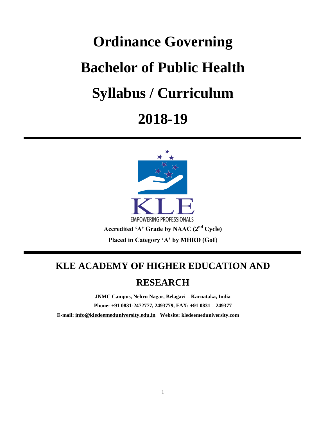# **Ordinance Governing Bachelor of Public Health Syllabus / Curriculum 2018-19**



## **KLE ACADEMY OF HIGHER EDUCATION AND**

## **RESEARCH**

**JNMC Campus, Nehru Nagar, Belagavi – Karnataka, India**

**Phone: +91 0831-2472777, 2493779, FAX: +91 0831 – 249377**

 **E-mail: [info@kledeemeduniversity.edu.in](mailto:info@kledeemeduniversity.edu.in) Website: kledeemeduniversity.com**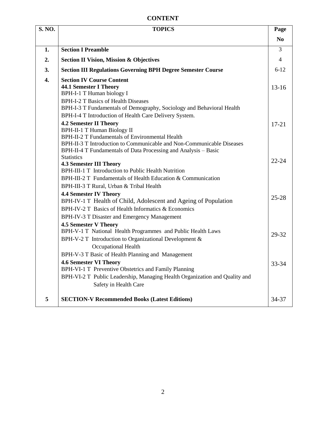## **CONTENT**

| <b>S. NO.</b>    | <b>TOPICS</b>                                                                                                                                                                                                                                                                                                                | Page           |
|------------------|------------------------------------------------------------------------------------------------------------------------------------------------------------------------------------------------------------------------------------------------------------------------------------------------------------------------------|----------------|
|                  |                                                                                                                                                                                                                                                                                                                              | N <sub>0</sub> |
| 1.               | <b>Section I Preamble</b>                                                                                                                                                                                                                                                                                                    | 3              |
| 2.               | <b>Section II Vision, Mission &amp; Objectives</b>                                                                                                                                                                                                                                                                           | $\overline{4}$ |
| 3.               | <b>Section III Regulations Governing BPH Degree Semester Course</b>                                                                                                                                                                                                                                                          | $6 - 12$       |
| $\overline{4}$ . | <b>Section IV Course Content</b><br><b>44.1 Semester I Theory</b><br>BPH-I-1 T Human biology I<br><b>BPH-I-2 T Basics of Health Diseases</b><br>BPH-I-3 T Fundamentals of Demography, Sociology and Behavioral Health                                                                                                        | $13-16$        |
|                  | BPH-I-4 T Introduction of Health Care Delivery System.<br><b>4.2 Semester II Theory</b><br><b>BPH-II-1 T Human Biology II</b><br>BPH-II-2 T Fundamentals of Environmental Health<br>BPH-II-3 T Introduction to Communicable and Non-Communicable Diseases<br>BPH-II-4 T Fundamentals of Data Processing and Analysis – Basic | $17 - 21$      |
|                  | <b>Statistics</b><br><b>4.3 Semester III Theory</b><br>BPH-III-1 T Introduction to Public Health Nutrition<br>BPH-III-2 T Fundamentals of Health Education & Communication<br>BPH-III-3 T Rural, Urban & Tribal Health                                                                                                       | $22 - 24$      |
|                  | <b>4.4 Semester IV Theory</b><br>BPH-IV-1 T Health of Child, Adolescent and Ageing of Population<br>BPH-IV-2 T Basics of Health Informatics & Economics<br>BPH-IV-3 T Disaster and Emergency Management                                                                                                                      | $25 - 28$      |
|                  | <b>4.5 Semester V Theory</b><br>BPH-V-1 T National Health Programmes and Public Health Laws<br>BPH-V-2 T Introduction to Organizational Development &<br><b>Occupational Health</b>                                                                                                                                          | 29-32          |
|                  | BPH-V-3 T Basic of Health Planning and Management<br><b>4.6 Semester VI Theory</b><br>BPH-VI-1 T Preventive Obstetrics and Family Planning<br>BPH-VI-2 T Public Leadership, Managing Health Organization and Quality and<br>Safety in Health Care                                                                            | 33-34          |
| 5                | <b>SECTION-V Recommended Books (Latest Editions)</b>                                                                                                                                                                                                                                                                         | 34-37          |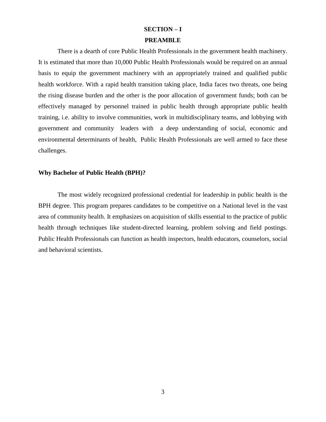#### **SECTION – I**

#### **PREAMBLE**

There is a dearth of core Public Health Professionals in the government health machinery. It is estimated that more than 10,000 Public Health Professionals would be required on an annual basis to equip the government machinery with an appropriately trained and qualified public health workforce. With a rapid health transition taking place, India faces two threats, one being the rising disease burden and the other is the poor allocation of government funds; both can be effectively managed by personnel trained in public health through appropriate public health training, i.e. ability to involve communities, work in multidisciplinary teams, and lobbying with government and community leaders with a deep understanding of social, economic and environmental determinants of health, Public Health Professionals are well armed to face these challenges.

#### **Why Bachelor of Public Health (BPH)?**

The most widely recognized professional credential for leadership in public health is the BPH degree. This program prepares candidates to be competitive on a National level in the vast area of community health. It emphasizes on acquisition of skills essential to the practice of public health through techniques like student-directed learning, problem solving and field postings. Public Health Professionals can function as health inspectors, health educators, counselors, social and behavioral scientists.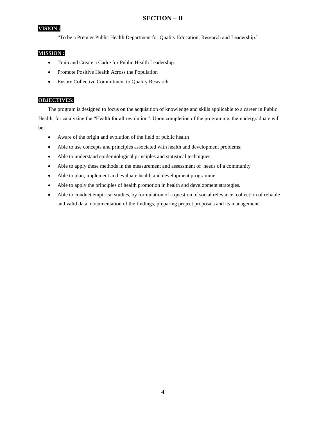#### **SECTION – II**

#### **VISION :**

"To be a Premier Public Health Department for Quality Education, Research and Leadership.".

#### **MISSION :**

- Train and Create a Cadre for Public Health Leadership.
- Promote Positive Health Across the Population
- **•** Ensure Collective Commitment to Quality Research

#### **OBJECTIVES:**

The program is designed to focus on the acquisition of knowledge and skills applicable to a career in Public Health, for catalyzing the "Health for all revolution". Upon completion of the programme, the undergraduate will be:

- Aware of the origin and evolution of the field of public health
- Able to use concepts and principles associated with health and development problems;
- Able to understand epidemiological principles and statistical techniques;
- Able to apply these methods in the measurement and assessment of needs of a community
- Able to plan, implement and evaluate health and development programme.
- Able to apply the principles of health promotion in health and development strategies.
- Able to conduct empirical studies, by formulation of a question of social relevance, collection of reliable and valid data, documentation of the findings, preparing project proposals and its management.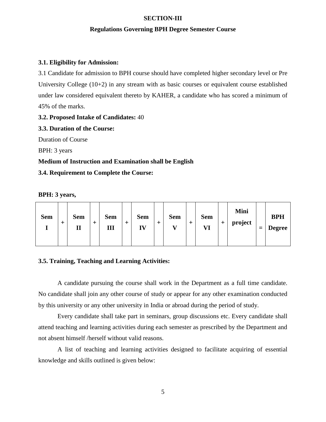#### **SECTION-III**

#### **Regulations Governing BPH Degree Semester Course**

#### **3.1. Eligibility for Admission:**

3.1 Candidate for admission to BPH course should have completed higher secondary level or Pre University College (10+2) in any stream with as basic courses or equivalent course established under law considered equivalent thereto by KAHER, a candidate who has scored a minimum of 45% of the marks.

#### **3.2. Proposed Intake of Candidates:** 40

**3.3. Duration of the Course:** Duration of Course BPH: 3 years **Medium of Instruction and Examination shall be English**

**3.4. Requirement to Complete the Course:**

| <b>Sem</b> | $\pm$ | <b>Sem</b><br>п |  | <b>Sem</b><br>Ш | ∸ | <b>Sem</b><br>IV |  | <b>Sem</b><br>$\mathbf{r}$ |  | <b>Sem</b><br>VI | + | Mini<br>project |  | <b>BPH</b><br><b>Degree</b> |
|------------|-------|-----------------|--|-----------------|---|------------------|--|----------------------------|--|------------------|---|-----------------|--|-----------------------------|
|------------|-------|-----------------|--|-----------------|---|------------------|--|----------------------------|--|------------------|---|-----------------|--|-----------------------------|

#### **3.5. Training, Teaching and Learning Activities:**

A candidate pursuing the course shall work in the Department as a full time candidate. No candidate shall join any other course of study or appear for any other examination conducted by this university or any other university in India or abroad during the period of study.

Every candidate shall take part in seminars, group discussions etc. Every candidate shall attend teaching and learning activities during each semester as prescribed by the Department and not absent himself /herself without valid reasons.

A list of teaching and learning activities designed to facilitate acquiring of essential knowledge and skills outlined is given below: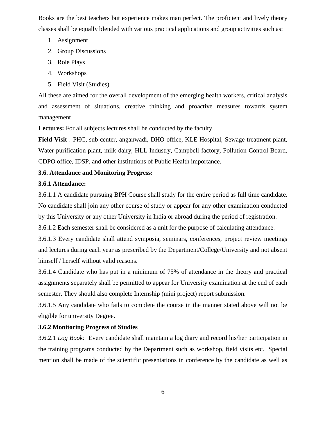Books are the best teachers but experience makes man perfect. The proficient and lively theory classes shall be equally blended with various practical applications and group activities such as:

- 1. Assignment
- 2. Group Discussions
- 3. Role Plays
- 4. Workshops
- 5. Field Visit (Studies)

All these are aimed for the overall development of the emerging health workers, critical analysis and assessment of situations, creative thinking and proactive measures towards system management

**Lectures:** For all subjects lectures shall be conducted by the faculty.

**Field Visit** : PHC, sub center, anganwadi, DHO office, KLE Hospital, Sewage treatment plant, Water purification plant, milk dairy, HLL Industry, Campbell factory, Pollution Control Board, CDPO office, IDSP, and other institutions of Public Health importance.

#### **3.6. Attendance and Monitoring Progress:**

#### **3.6.1 Attendance:**

3.6.1.1 A candidate pursuing BPH Course shall study for the entire period as full time candidate. No candidate shall join any other course of study or appear for any other examination conducted by this University or any other University in India or abroad during the period of registration.

3.6.1.2 Each semester shall be considered as a unit for the purpose of calculating attendance.

3.6.1.3 Every candidate shall attend symposia, seminars, conferences, project review meetings and lectures during each year as prescribed by the Department/College/University and not absent himself / herself without valid reasons.

3.6.1.4 Candidate who has put in a minimum of 75% of attendance in the theory and practical assignments separately shall be permitted to appear for University examination at the end of each semester. They should also complete Internship (mini project) report submission.

3.6.1.5 Any candidate who fails to complete the course in the manner stated above will not be eligible for university Degree.

### **3.6.2 Monitoring Progress of Studies**

3.6.2.1 *Log Book:* Every candidate shall maintain a log diary and record his/her participation in the training programs conducted by the Department such as workshop, field visits etc. Special mention shall be made of the scientific presentations in conference by the candidate as well as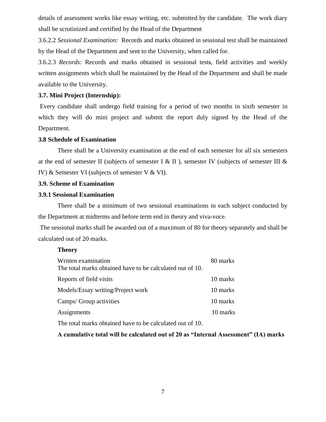details of assessment works like essay writing, etc. submitted by the candidate. The work diary shall be scrutinized and certified by the Head of the Department

3.6.2.2 *Sessional Examination:* Records and marks obtained in sessional test shall be maintained by the Head of the Department and sent to the University, when called for.

3.6.2.3 *Records:* Records and marks obtained in sessional tests, field activities and weekly written assignments which shall be maintained by the Head of the Department and shall be made available to the University.

#### **3.7. Mini Project (Internship):**

Every candidate shall undergo field training for a period of two months in sixth semester in which they will do mini project and submit the report duly signed by the Head of the Department.

#### **3.8 Schedule of Examination**

There shall be a University examination at the end of each semester for all six semesters at the end of semester II (subjects of semester I & II), semester IV (subjects of semester III & IV) & Semester VI (subjects of semester V & VI).

#### **3.9. Scheme of Examination**

#### **3.9.1 Sessional Examination**

There shall be a minimum of two sessional examinations in each subject conducted by the Department at midterms and before term end in theory and viva-voce.

The sessional marks shall be awarded out of a maximum of 80 for theory separately and shall be calculated out of 20 marks.

#### **Theory**

| Written examination<br>The total marks obtained have to be calculated out of 10. | 80 marks |
|----------------------------------------------------------------------------------|----------|
| Reports of field visits                                                          | 10 marks |
| Models/Essay writing/Project work                                                | 10 marks |
| Camps/ Group activities                                                          | 10 marks |
|                                                                                  |          |
| Assignments                                                                      | 10 marks |
| The total marks obtained have to be calculated out of 10.                        |          |

**A cumulative total will be calculated out of 20 as "Internal Assessment" (IA) marks**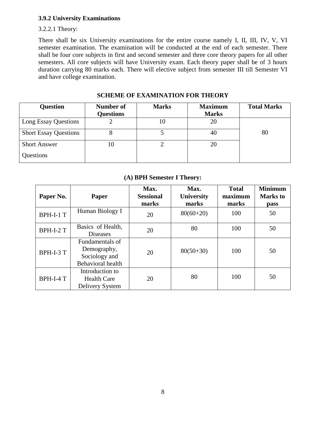#### **3.9.2 University Examinations**

#### 3.2.2.1 Theory:

There shall be six University examinations for the entire course namely I, II, III, IV, V, VI semester examination. The examination will be conducted at the end of each semester. There shall be four core subjects in first and second semester and three core theory papers for all other semesters. All core subjects will have University exam. Each theory paper shall be of 3 hours duration carrying 80 marks each. There will elective subject from semester III till Semester VI and have college examination.

| <b>Question</b>              | Number of<br><b>Questions</b> | <b>Marks</b> | <b>Maximum</b><br><b>Marks</b> | <b>Total Marks</b> |
|------------------------------|-------------------------------|--------------|--------------------------------|--------------------|
| Long Essay Questions         |                               | 10           | 20                             |                    |
| <b>Short Essay Questions</b> |                               |              | 40                             | 80                 |
| <b>Short Answer</b>          | 10                            |              | 20                             |                    |
| Questions                    |                               |              |                                |                    |

#### **SCHEME OF EXAMINATION FOR THEORY**

#### **(A) BPH Semester I Theory:**

| Paper No. | Paper                                                                       | Max.<br><b>Sessional</b><br>marks | Max.<br><b>University</b><br>marks | <b>Total</b><br>maximum<br>marks | <b>Minimum</b><br><b>Marks</b> to<br>pass |
|-----------|-----------------------------------------------------------------------------|-----------------------------------|------------------------------------|----------------------------------|-------------------------------------------|
| BPH-I-1 T | Human Biology I                                                             | 20                                | $80(60+20)$                        | 100                              | 50                                        |
| BPH-I-2 T | Basics of Health,<br><b>Diseases</b>                                        | 20                                | 80                                 | 100                              | 50                                        |
| BPH-I-3 T | Fundamentals of<br>Demography,<br>Sociology and<br><b>Behavioral</b> health | 20                                | $80(50+30)$                        | 100                              | 50                                        |
| BPH-I-4 T | Introduction to<br><b>Health Care</b><br>Delivery System                    | 20                                | 80                                 | 100                              | 50                                        |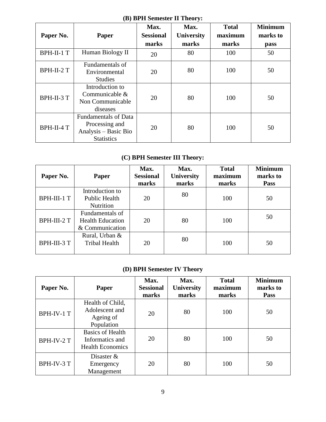### **(B) BPH Semester II Theory:**

|            |                             | Max.             | Max.              | <b>Total</b> | <b>Minimum</b> |  |
|------------|-----------------------------|------------------|-------------------|--------------|----------------|--|
| Paper No.  | Paper                       | <b>Sessional</b> | <b>University</b> | maximum      | marks to       |  |
|            |                             | marks            | marks             | marks        | pass           |  |
| BPH-II-1 T | Human Biology II            | 20               | 80                | 100          | 50             |  |
|            | Fundamentals of             |                  |                   |              |                |  |
| BPH-II-2 T | Environmental               | 20               | 80                | 100          | 50             |  |
|            | <b>Studies</b>              |                  |                   |              |                |  |
|            | Introduction to             |                  | 80                |              |                |  |
| BPH-II-3 T | Communicable $\&$           | 20               |                   | 100          | 50             |  |
|            | Non Communicable            |                  |                   |              |                |  |
|            | diseases                    |                  |                   |              |                |  |
| BPH-II-4 T | <b>Fundamentals of Data</b> |                  |                   |              |                |  |
|            | Processing and              | 20               | 80                | 100          | 50             |  |
|            | Analysis - Basic Bio        |                  |                   |              |                |  |
|            | <b>Statistics</b>           |                  |                   |              |                |  |

## **(C) BPH Semester III Theory:**

| Paper No.   | Paper                                                         | Max.<br><b>Sessional</b><br>marks | Max.<br><b>University</b><br>marks | <b>Total</b><br>maximum<br>marks | <b>Minimum</b><br>marks to<br><b>Pass</b> |
|-------------|---------------------------------------------------------------|-----------------------------------|------------------------------------|----------------------------------|-------------------------------------------|
| BPH-III-1 T | Introduction to<br><b>Public Health</b><br>Nutrition          | 20                                | 80                                 | 100                              | 50                                        |
| BPH-III-2 T | Fundamentals of<br><b>Health Education</b><br>& Communication | 20                                | 80                                 | 100                              | 50                                        |
| BPH-III-3 T | Rural, Urban &<br><b>Tribal Health</b>                        | 20                                | 80                                 | 100                              | 50                                        |

### **(D) BPH Semester IV Theory**

| Paper No.  | <b>Paper</b>                                                          | Max.<br><b>Sessional</b><br>marks | Max.<br><b>University</b><br>marks | <b>Total</b><br>maximum<br>marks | <b>Minimum</b><br>marks to<br>Pass |
|------------|-----------------------------------------------------------------------|-----------------------------------|------------------------------------|----------------------------------|------------------------------------|
| BPH-IV-1 T | Health of Child,<br>Adolescent and<br>Ageing of<br>Population         | 20                                | 80                                 | 100                              | 50                                 |
| BPH-IV-2 T | <b>Basics of Health</b><br>Informatics and<br><b>Health Economics</b> | 20                                | 80                                 | 100                              | 50                                 |
| BPH-IV-3 T | Disaster $&$<br>Emergency<br>Management                               | 20                                | 80                                 | 100                              | 50                                 |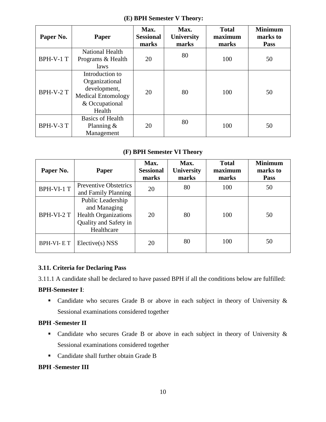| Paper No. | <b>Paper</b>                                                                                               | Max.<br><b>Sessional</b><br>marks | Max.<br>University<br>marks | <b>Total</b><br>maximum<br>marks | <b>Minimum</b><br>marks to<br>Pass |
|-----------|------------------------------------------------------------------------------------------------------------|-----------------------------------|-----------------------------|----------------------------------|------------------------------------|
| BPH-V-1 T | <b>National Health</b><br>Programs & Health<br>laws                                                        | 20                                | 80                          | 100                              | 50                                 |
| BPH-V-2 T | Introduction to<br>Organizational<br>development,<br><b>Medical Entomology</b><br>& Occupational<br>Health | 20                                | 80                          | 100                              | 50                                 |
| BPH-V-3 T | <b>Basics of Health</b><br>Planning $\&$<br>Management                                                     | 20                                | 80                          | 100                              | 50                                 |

#### **(E) BPH Semester V Theory:**

#### **(F) BPH Semester VI Theory**

| Paper No.        | Paper                                                                                                   | Max.<br><b>Sessional</b><br>marks | Max.<br>University<br>marks | <b>Total</b><br>maximum<br>marks | <b>Minimum</b><br>marks to<br><b>Pass</b> |
|------------------|---------------------------------------------------------------------------------------------------------|-----------------------------------|-----------------------------|----------------------------------|-------------------------------------------|
| BPH-VI-1 T       | <b>Preventive Obstetrics</b><br>and Family Planning                                                     | 20                                | 80                          | 100                              | 50                                        |
| BPH-VI-2 T       | Public Leadership<br>and Managing<br><b>Health Organizations</b><br>Quality and Safety in<br>Healthcare | 20                                | 80                          | 100                              | 50                                        |
| <b>BPH-VI-ET</b> | $Electric(s)$ NSS                                                                                       | 20                                | 80                          | 100                              | 50                                        |

#### **3.11. Criteria for Declaring Pass**

3.11.1 A candidate shall be declared to have passed BPH if all the conditions below are fulfilled:

#### **BPH-Semester I**:

 Candidate who secures Grade B or above in each subject in theory of University & Sessional examinations considered together

#### **BPH -Semester II**

- Candidate who secures Grade B or above in each subject in theory of University  $\&$ Sessional examinations considered together
- Candidate shall further obtain Grade B

#### **BPH -Semester III**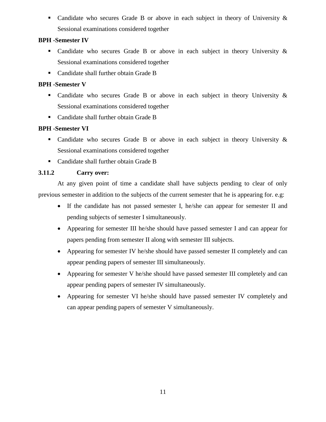• Candidate who secures Grade B or above in each subject in theory of University & Sessional examinations considered together

#### **BPH -Semester IV**

- Candidate who secures Grade B or above in each subject in theory University  $\&$ Sessional examinations considered together
- Candidate shall further obtain Grade B

#### **BPH -Semester V**

- Candidate who secures Grade B or above in each subject in theory University & Sessional examinations considered together
- Candidate shall further obtain Grade B

#### **BPH -Semester VI**

- Candidate who secures Grade B or above in each subject in theory University  $\&$ Sessional examinations considered together
- Candidate shall further obtain Grade B

#### **3.11.2 Carry over:**

At any given point of time a candidate shall have subjects pending to clear of only previous semester in addition to the subjects of the current semester that he is appearing for. e.g:

- If the candidate has not passed semester I, he/she can appear for semester II and pending subjects of semester I simultaneously.
- Appearing for semester III he/she should have passed semester I and can appear for papers pending from semester II along with semester III subjects.
- Appearing for semester IV he/she should have passed semester II completely and can appear pending papers of semester III simultaneously.
- Appearing for semester V he/she should have passed semester III completely and can appear pending papers of semester IV simultaneously.
- Appearing for semester VI he/she should have passed semester IV completely and can appear pending papers of semester V simultaneously.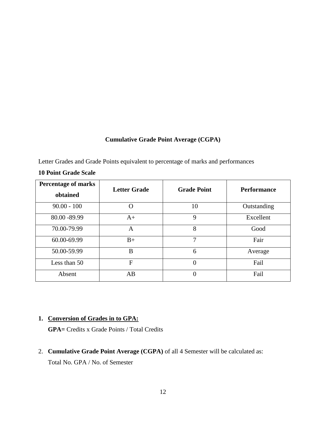#### **Cumulative Grade Point Average (CGPA)**

Letter Grades and Grade Points equivalent to percentage of marks and performances

| <b>Percentage of marks</b><br>obtained | <b>Letter Grade</b> | <b>Grade Point</b> | <b>Performance</b> |
|----------------------------------------|---------------------|--------------------|--------------------|
| $90.00 - 100$                          | O                   | 10                 | Outstanding        |
| 80.00 - 89.99                          | $A+$                | 9                  | Excellent          |
| 70.00-79.99                            | A                   | 8                  | Good               |
| 60.00-69.99                            | $B+$                | 7                  | Fair               |
| 50.00-59.99                            | B                   | 6                  | Average            |
| Less than 50                           | F                   | $\overline{0}$     | Fail               |
| Absent                                 | AB                  | 0                  | Fail               |

#### **10 Point Grade Scale**

#### **1. Conversion of Grades in to GPA:**

**GPA=** Credits x Grade Points / Total Credits

2. **Cumulative Grade Point Average (CGPA)** of all 4 Semester will be calculated as:

Total No. GPA / No. of Semester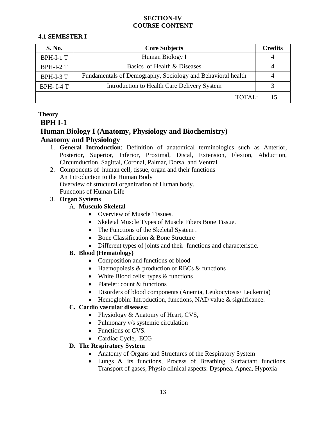#### **SECTION-IV COURSE CONTENT**

#### **4.1 SEMESTER I**

| <b>S. No.</b>    | <b>Core Subjects</b>                                        | <b>Credits</b> |
|------------------|-------------------------------------------------------------|----------------|
| BPH-I-1 T        | Human Biology I                                             |                |
| BPH-I-2 T        | Basics of Health & Diseases                                 |                |
| BPH-I-3 T        | Fundamentals of Demography, Sociology and Behavioral health |                |
| <b>BPH-I-4 T</b> | Introduction to Health Care Delivery System                 |                |
|                  | TOTAI:                                                      | 15             |

#### **Theory**

#### **BPH I-1**

### **Human Biology I (Anatomy, Physiology and Biochemistry) Anatomy and Physiology**

- 1. **General Introduction**: Definition of anatomical terminologies such as Anterior, Posterior, Superior, Inferior, Proximal, Distal, Extension, Flexion, Abduction, Circumduction, Sagittal, Coronal, Palmar, Dorsal and Ventral.
- 2. Components of human cell, tissue, organ and their functions An Introduction to the Human Body Overview of structural organization of Human body. Functions of Human Life

#### 3. **Organ Systems**

#### A. **Musculo Skeletal**

- Overview of Muscle Tissues.
- Skeletal Muscle Types of Muscle Fibers Bone Tissue.
- The Functions of the Skeletal System.
- Bone Classification & Bone Structure
- Different types of joints and their functions and characteristic.

#### **B. Blood (Hematology)**

- Composition and functions of blood
- Haemopoiesis & production of RBCs & functions
- White Blood cells: types  $&$  functions
- Platelet: count & functions
- Disorders of blood components (Anemia, Leukocytosis/ Leukemia)
- Hemoglobin: Introduction, functions, NAD value & significance.

#### **C. Cardio vascular diseases:**

- Physiology & Anatomy of Heart, CVS,
- Pulmonary v/s systemic circulation
- Functions of CVS.
- Cardiac Cycle, ECG

#### **D. The Respiratory System**

- Anatomy of Organs and Structures of the Respiratory System
- Lungs & its functions, Process of Breathing. Surfactant functions, Transport of gases, Physio clinical aspects: Dyspnea, Apnea, Hypoxia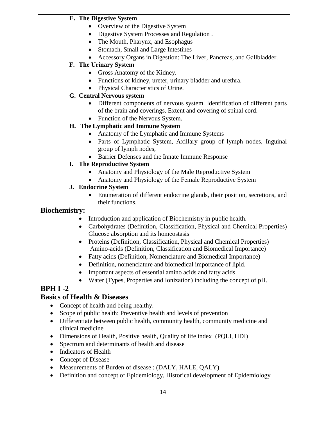#### **E. The Digestive System**

- Overview of the Digestive System
- Digestive System Processes and Regulation .
- The Mouth, Pharynx, and Esophagus
- Stomach, Small and Large Intestines
- Accessory Organs in Digestion: The Liver, Pancreas, and Gallbladder.

#### **F. The Urinary System**

- Gross Anatomy of the Kidney.
- Functions of kidney, ureter, urinary bladder and urethra.
- Physical Characteristics of Urine.

#### **G. Central Nervous system**

- Different components of nervous system. Identification of different parts of the brain and coverings. Extent and covering of spinal cord.
- Function of the Nervous System.

#### **H. The Lymphatic and Immune System**

- Anatomy of the Lymphatic and Immune Systems
- Parts of Lymphatic System, Axillary group of lymph nodes, Inguinal group of lymph nodes,
- Barrier Defenses and the Innate Immune Response

#### **I. The Reproductive System**

- Anatomy and Physiology of the Male Reproductive System
- Anatomy and Physiology of the Female Reproductive System

#### **J. Endocrine System**

 Enumeration of different endocrine glands, their position, secretions, and their functions.

#### **Biochemistry:**

- Introduction and application of Biochemistry in public health.
- Carbohydrates (Definition, Classification, Physical and Chemical Properties) Glucose absorption and its homeostasis
- Proteins (Definition, Classification, Physical and Chemical Properties) Amino-acids (Definition, Classification and Biomedical Importance)
- Fatty acids (Definition, Nomenclature and Biomedical Importance)
- Definition, nomenclature and biomedical importance of lipid.
- Important aspects of essential amino acids and fatty acids.
- Water (Types, Properties and Ionization) including the concept of pH.

## **BPH I -2**

## **Basics of Health & Diseases**

- Concept of health and being healthy.
- Scope of public health: Preventive health and levels of prevention
- Differentiate between public health, community health, community medicine and clinical medicine
- Dimensions of Health, Positive health, Quality of life index (PQLI, HDI)
- Spectrum and determinants of health and disease
- Indicators of Health
- Concept of Disease
- Measurements of Burden of disease : (DALY, HALE, QALY)
- Definition and concept of Epidemiology, Historical development of Epidemiology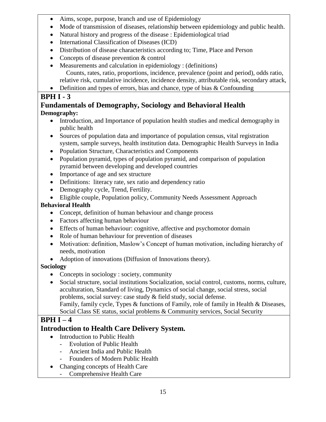- Aims, scope, purpose, branch and use of Epidemiology
- Mode of transmission of diseases, relationship between epidemiology and public health.
- Natural history and progress of the disease : Epidemiological triad
- International Classification of Diseases (ICD)
- Distribution of disease characteristics according to; Time, Place and Person
- Concepts of disease prevention & control
- Measurements and calculation in epidemiology : (definitions) Counts, rates, ratio, proportions, incidence, prevalence (point and period), odds ratio, relative risk, cumulative incidence, incidence density, attributable risk, secondary attack,
- Definition and types of errors, bias and chance, type of bias  $&$  Confounding

## **BPH I - 3**

## **Fundamentals of Demography, Sociology and Behavioral Health Demography:**

- Introduction, and Importance of population health studies and medical demography in public health
- Sources of population data and importance of population census, vital registration system, sample surveys, health institution data. Demographic Health Surveys in India
- Population Structure, Characteristics and Components
- Population pyramid, types of population pyramid, and comparison of population pyramid between developing and developed countries
- Importance of age and sex structure
- Definitions: literacy rate, sex ratio and dependency ratio
- Demography cycle, Trend, Fertility.
- Eligible couple, Population policy, Community Needs Assessment Approach

## **Behavioral Health**

- Concept, definition of human behaviour and change process
- Factors affecting human behaviour
- Effects of human behaviour: cognitive, affective and psychomotor domain
- Role of human behaviour for prevention of diseases
- Motivation: definition, Maslow's Concept of human motivation, including hierarchy of needs, motivation
- Adoption of innovations (Diffusion of Innovations theory).

## **Sociology**

- Concepts in sociology : society, community
- Social structure, social institutions Socialization, social control, customs, norms, culture, acculturation, Standard of living, Dynamics of social change, social stress, social problems, social survey: case study & field study, social defense. Family, family cycle, Types & functions of Family, role of family in Health & Diseases,

## Social Class SE status, social problems & Community services, Social Security

## **BPH I – 4**

## **Introduction to Health Care Delivery System.**

- Introduction to Public Health
	- Evolution of Public Health
	- Ancient India and Public Health
	- Founders of Modern Public Health
- Changing concepts of Health Care
	- Comprehensive Health Care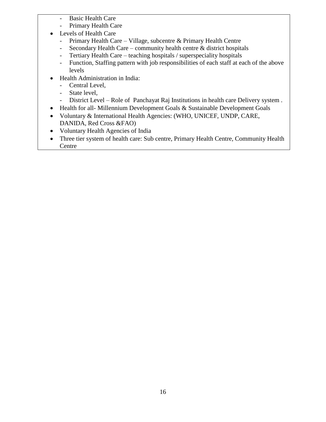- Basic Health Care
- Primary Health Care
- Levels of Health Care
	- Primary Health Care Village, subcentre & Primary Health Centre
	- Secondary Health Care community health centre & district hospitals
	- Tertiary Health Care teaching hospitals / superspeciality hospitals
	- Function, Staffing pattern with job responsibilities of each staff at each of the above levels
- Health Administration in India:
	- Central Level,
	- State level,
	- District Level Role of Panchayat Raj Institutions in health care Delivery system .
- Health for all-Millennium Development Goals & Sustainable Development Goals
- Voluntary & International Health Agencies: (WHO, UNICEF, UNDP, CARE, DANIDA, Red Cross &FAO)
- Voluntary Health Agencies of India
- Three tier system of health care: Sub centre, Primary Health Centre, Community Health Centre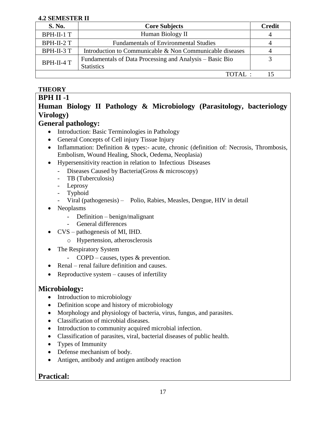#### **4.2 SEMESTER II**

| <b>S. No.</b> | <b>Core Subjects</b>                                                          | <b>Credit</b> |
|---------------|-------------------------------------------------------------------------------|---------------|
| BPH-II-1 T    | Human Biology II                                                              |               |
| BPH-II-2 T    | <b>Fundamentals of Environmental Studies</b>                                  |               |
| BPH-II-3 T    | Introduction to Communicable & Non Communicable diseases                      |               |
| BPH-II-4 T    | Fundamentals of Data Processing and Analysis – Basic Bio<br><b>Statistics</b> |               |
|               | $TOTAI$ .                                                                     |               |

### **THEORY**

#### **BPH II -1 Human Biology II Pathology & Microbiology (Parasitology, bacteriology Virology)**

#### **General pathology:**

- Introduction: Basic Terminologies in Pathology
- General Concepts of Cell injury Tissue Injury
- Inflammation: Definition & types:- acute, chronic (definition of: Necrosis, Thrombosis, Embolism, Wound Healing, Shock, Oedema, Neoplasia)
- Hypersensitivity reaction in relation to Infectious Diseases
	- Diseases Caused by Bacteria(Gross & microscopy)
	- TB (Tuberculosis)
	- Leprosy
	- **Typhoid**
	- Viral (pathogenesis) Polio, Rabies, Measles, Dengue, HIV in detail
- Neoplasms
	- Definition benign/malignant
	- General differences
- CVS pathogenesis of MI, IHD.
	- o Hypertension, atherosclerosis
- The Respiratory System
	- COPD causes, types & prevention.
- Renal renal failure definition and causes.
- Reproductive system  $-\text{causes of}$  infertility

### **Microbiology:**

- Introduction to microbiology
- Definition scope and history of microbiology
- Morphology and physiology of bacteria, virus, fungus, and parasites.
- Classification of microbial diseases.
- Introduction to community acquired microbial infection.
- Classification of parasites, viral, bacterial diseases of public health.
- Types of Immunity
- Defense mechanism of body.
- Antigen, antibody and antigen antibody reaction

## **Practical:**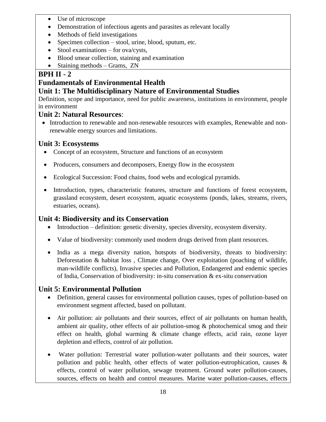- Use of microscope
- Demonstration of infectious agents and parasites as relevant locally
- Methods of field investigations
- Specimen collection stool, urine, blood, sputum, etc.
- $\bullet$  Stool examinations for ova/cysts,
- Blood smear collection, staining and examination
- Staining methods Grams, ZN

## **BPH II - 2**

## **Fundamentals of Environmental Health**

## **Unit 1: The Multidisciplinary Nature of Environmental Studies**

Definition, scope and importance, need for public awareness, institutions in environment, people in environment

### **Unit 2: Natural Resources**:

• Introduction to renewable and non-renewable resources with examples, Renewable and nonrenewable energy sources and limitations.

### **Unit 3: Ecosystems**

- Concept of an ecosystem, Structure and functions of an ecosystem
- Producers, consumers and decomposers, Energy flow in the ecosystem
- Ecological Succession: Food chains, food webs and ecological pyramids.
- Introduction, types, characteristic features, structure and functions of forest ecosystem, grassland ecosystem, desert ecosystem, aquatic ecosystems (ponds, lakes, streams, rivers, estuaries, oceans).

## **Unit 4: Biodiversity and its Conservation**

- Introduction definition: genetic diversity, species diversity, ecosystem diversity.
- Value of biodiversity: commonly used modern drugs derived from plant resources.
- India as a mega diversity nation, hotspots of biodiversity, threats to biodiversity: Deforestation & habitat loss , Climate change, Over exploitation (poaching of wildlife, man-wildlife conflicts), Invasive species and Pollution, Endangered and endemic species of India, Conservation of biodiversity: in-situ conservation & ex-situ conservation

## **Unit 5: Environmental Pollution**

- Definition, general causes for environmental pollution causes, types of pollution-based on environment segment affected, based on pollutant.
- Air pollution: air pollutants and their sources, effect of air pollutants on human health, ambient air quality, other effects of air pollution-smog & photochemical smog and their effect on health, global warming & climate change effects, acid rain, ozone layer depletion and effects, control of air pollution.
- Water pollution: Terrestrial water pollution-water pollutants and their sources, water pollution and public health, other effects of water pollution-eutrophication, causes & effects, control of water pollution, sewage treatment. Ground water pollution-causes, sources, effects on health and control measures. Marine water pollution-causes, effects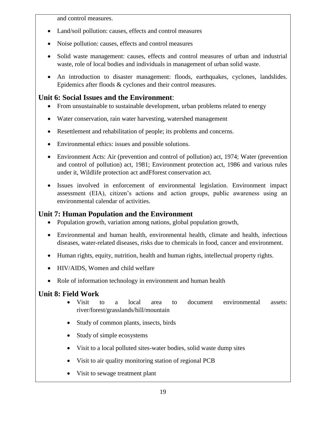and control measures.

- Land/soil pollution: causes, effects and control measures
- Noise pollution: causes, effects and control measures
- Solid waste management: causes, effects and control measures of urban and industrial waste, role of local bodies and individuals in management of urban solid waste.
- An introduction to disaster management: floods, earthquakes, cyclones, landslides. Epidemics after floods & cyclones and their control measures.

## **Unit 6: Social Issues and the Environment**:

- From unsustainable to sustainable development, urban problems related to energy
- Water conservation, rain water harvesting, watershed management
- Resettlement and rehabilitation of people; its problems and concerns.
- Environmental ethics: issues and possible solutions.
- Environment Acts: Air (prevention and control of pollution) act, 1974; Water (prevention and control of pollution) act, 1981; Environment protection act, 1986 and various rules under it, Wildlife protection act andFforest conservation act.
- Issues involved in enforcement of environmental legislation. Environment impact assessment (EIA), citizen's actions and action groups, public awareness using an environmental calendar of activities.

## **Unit 7: Human Population and the Environment**

- Population growth, variation among nations, global population growth,
- Environmental and human health, environmental health, climate and health, infectious diseases, water-related diseases, risks due to chemicals in food, cancer and environment.
- Human rights, equity, nutrition, health and human rights, intellectual property rights.
- HIV/AIDS, Women and child welfare
- Role of information technology in environment and human health

## **Unit 8: Field Work**

- Visit to a local area to document environmental assets: river/forest/grasslands/hill/mountain
- Study of common plants, insects, birds
- Study of simple ecosystems
- Visit to a local polluted sites-water bodies, solid waste dump sites
- Visit to air quality monitoring station of regional PCB
- Visit to sewage treatment plant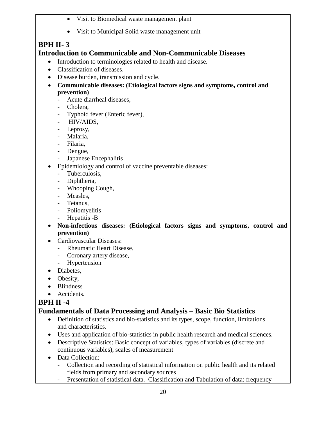- Visit to Biomedical waste management plant
- Visit to Municipal Solid waste management unit

## **BPH II- 3**

## **Introduction to Communicable and Non-Communicable Diseases**

- Introduction to terminologies related to health and disease.
- Classification of diseases.
- Disease burden, transmission and cycle.
- **Communicable diseases: (Etiological factors signs and symptoms, control and prevention)** 
	- Acute diarrheal diseases,
	- Cholera.
	- Typhoid fever (Enteric fever),
	- HIV/AIDS,
	- Leprosy,
	- Malaria,
	- Filaria,
	- Dengue,
	- Japanese Encephalitis
- Epidemiology and control of vaccine preventable diseases:
	- Tuberculosis,
	- Diphtheria,
	- Whooping Cough,
	- Measles,
	- Tetanus,
	- Poliomyelitis
	- Hepatitis -B
- **Non-infectious diseases: (Etiological factors signs and symptoms, control and prevention)**
- Cardiovascular Diseases:
	- Rheumatic Heart Disease,
	- Coronary artery disease,
	- Hypertension
- Diabetes.
- Obesity,
- Blindness
- Accidents.

## **BPH II -4**

## **Fundamentals of Data Processing and Analysis – Basic Bio Statistics**

- Definition of statistics and bio-statistics and its types, scope, function, limitations and characteristics.
- Uses and application of bio-statistics in public health research and medical sciences.
- Descriptive Statistics: Basic concept of variables, types of variables (discrete and continuous variables), scales of measurement
- Data Collection:
	- Collection and recording of statistical information on public health and its related fields from primary and secondary sources
	- Presentation of statistical data. Classification and Tabulation of data: frequency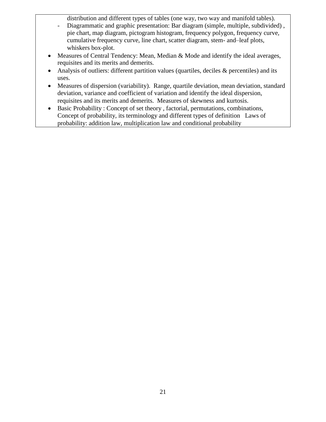distribution and different types of tables (one way, two way and manifold tables).

- Diagrammatic and graphic presentation: Bar diagram (simple, multiple, subdivided) , pie chart, map diagram, pictogram histogram, frequency polygon, frequency curve, cumulative frequency curve, line chart, scatter diagram, stem- and–leaf plots, whiskers box-plot.
- Measures of Central Tendency: Mean, Median & Mode and identify the ideal averages, requisites and its merits and demerits.
- Analysis of outliers: different partition values (quartiles, deciles & percentiles) and its uses.
- Measures of dispersion (variability). Range, quartile deviation, mean deviation, standard deviation, variance and coefficient of variation and identify the ideal dispersion, requisites and its merits and demerits. Measures of skewness and kurtosis.
- Basic Probability : Concept of set theory , factorial, permutations, combinations, Concept of probability, its terminology and different types of definition Laws of probability: addition law, multiplication law and conditional probability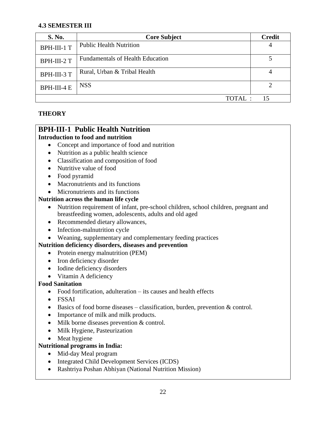#### **4.3 SEMESTER III**

| S. No.      | <b>Core Subject</b>                     | <b>Credit</b> |
|-------------|-----------------------------------------|---------------|
| BPH-III-1 T | <b>Public Health Nutrition</b>          |               |
| BPH-III-2 T | <b>Fundamentals of Health Education</b> |               |
| BPH-III-3 T | Rural, Urban & Tribal Health            |               |
| BPH-III-4 E | <b>NSS</b>                              |               |
|             | TOTAI.                                  | 15            |

#### **THEORY**

## **BPH-III-1 Public Health Nutrition**

#### **Introduction to food and nutrition**

- Concept and importance of food and nutrition
- Nutrition as a public health science
- Classification and composition of food
- Nutritive value of food
- Food pyramid
- Macronutrients and its functions
- Micronutrients and its functions

#### **Nutrition across the human life cycle**

- Nutrition requirement of infant, pre-school children, school children, pregnant and breastfeeding women, adolescents, adults and old aged
- Recommended dietary allowances,
- Infection-malnutrition cycle
- Weaning, supplementary and complementary feeding practices

#### **Nutrition deficiency disorders, diseases and prevention**

- Protein energy malnutrition (PEM)
- Iron deficiency disorder
- Iodine deficiency disorders
- Vitamin A deficiency

#### **Food Sanitation**

- Food fortification, adulteration its causes and health effects
- FSSAI
- Basics of food borne diseases classification, burden, prevention & control.
- Importance of milk and milk products.
- Milk borne diseases prevention & control.
- Milk Hygiene, Pasteurization
- Meat hygiene

#### **Nutritional programs in India:**

- Mid-day Meal program
- Integrated Child Development Services (ICDS)
- Rashtriya Poshan Abhiyan (National Nutrition Mission)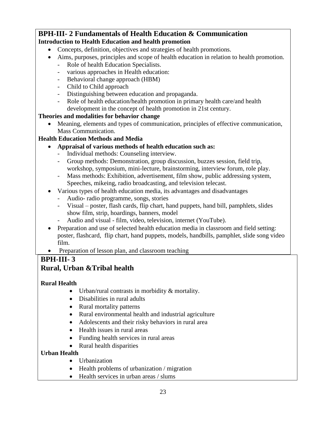#### **BPH-III- 2 Fundamentals of Health Education & Communication Introduction to Health Education and health promotion**

- Concepts, definition, objectives and strategies of health promotions.
- Aims, purposes, principles and scope of health education in relation to health promotion.
	- Role of health Education Specialists.
	- various approaches in Health education:
	- Behavioral change approach (HBM)
	- Child to Child approach
	- Distinguishing between education and propaganda.
	- Role of health education/health promotion in primary health care/and health development in the concept of health promotion in 21st century.

#### **Theories and modalities for behavior change**

 Meaning, elements and types of communication, principles of effective communication, Mass Communication.

#### **Health Education Methods and Media**

- **Appraisal of various methods of health education such as:**
	- Individual methods: Counseling interview.
	- Group methods: Demonstration, group discussion, buzzes session, field trip, workshop, symposium, mini-lecture, brainstorming, interview forum, role play.
	- Mass methods: Exhibition, advertisement, film show, public addressing system, Speeches, mikeing, radio broadcasting, and television telecast.
- Various types of health education media, its advantages and disadvantages
	- Audio- radio programme, songs, stories
	- Visual poster, flash cards, flip chart, hand puppets, hand bill, pamphlets, slides show film, strip, hoardings, banners, model
	- Audio and visual film, video, television, internet (YouTube).
- Preparation and use of selected health education media in classroom and field setting: poster, flashcard, flip chart, hand puppets, models, handbills, pamphlet, slide song video film.
- Preparation of lesson plan, and classroom teaching

## **BPH-III- 3**

## **Rural, Urban &Tribal health**

### **Rural Health**

- Urban/rural contrasts in morbidity & mortality.
- Disabilities in rural adults
- Rural mortality patterns
- Rural environmental health and industrial agriculture
- Adolescents and their risky behaviors in rural area
- Health issues in rural areas
- Funding health services in rural areas
- Rural health disparities

### **Urban Health**

- Urbanization
- Health problems of urbanization / migration
- Health services in urban areas / slums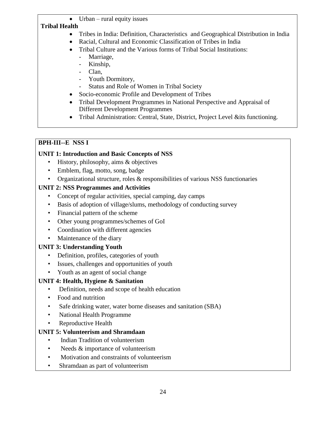Urban – rural equity issues

#### **Tribal Health**

- Tribes in India: Definition, Characteristics and Geographical Distribution in India
- Racial, Cultural and Economic Classification of Tribes in India
- Tribal Culture and the Various forms of Tribal Social Institutions:
	- Marriage,
	- Kinship,
	- Clan,
	- Youth Dormitory,
	- Status and Role of Women in Tribal Society
- Socio-economic Profile and Development of Tribes
- Tribal Development Programmes in National Perspective and Appraisal of Different Development Programmes
- Tribal Administration: Central, State, District, Project Level &its functioning.

## **BPH-III--E NSS I**

## **UNIT 1: Introduction and Basic Concepts of NSS**

- History, philosophy, aims & objectives
- Emblem, flag, motto, song, badge
- Organizational structure, roles & responsibilities of various NSS functionaries

## **UNIT 2: NSS Programmes and Activities**

- Concept of regular activities, special camping, day camps
- Basis of adoption of village/slums, methodology of conducting survey
- Financial pattern of the scheme
- Other young programmes/schemes of GoI
- Coordination with different agencies
- Maintenance of the diary

## **UNIT 3: Understanding Youth**

- Definition, profiles, categories of youth
- Issues, challenges and opportunities of youth
- Youth as an agent of social change

## **UNIT 4: Health, Hygiene & Sanitation**

- Definition, needs and scope of health education
- Food and nutrition
- Safe drinking water, water borne diseases and sanitation (SBA)
- National Health Programme
- Reproductive Health

## **UNIT 5: Volunteerism and Shramdaan**

- Indian Tradition of volunteerism
- Needs & importance of volunteerism
- Motivation and constraints of volunteerism
- Shramdaan as part of volunteerism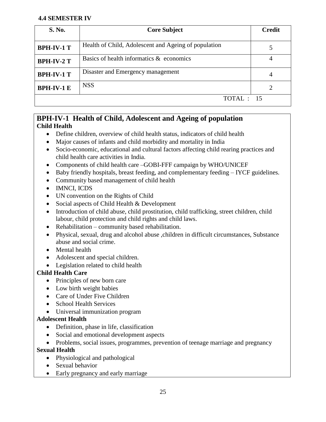#### **4.4 SEMESTER IV**

| <b>S. No.</b>     | <b>Core Subject</b>                                  | <b>Credit</b> |
|-------------------|------------------------------------------------------|---------------|
| <b>BPH-IV-1 T</b> | Health of Child, Adolescent and Ageing of population |               |
| <b>BPH-IV-2 T</b> | Basics of health informatics & economics             |               |
| <b>BPH-IV-1 T</b> | Disaster and Emergency management                    | 4             |
| <b>BPH-IV-1 E</b> | <b>NSS</b>                                           |               |
|                   | TOTAL : 15                                           |               |

#### **BPH-IV-1 Health of Child, Adolescent and Ageing of population Child Health**

- Define children, overview of child health status, indicators of child health
- Major causes of infants and child morbidity and mortality in India
- Socio-economic, educational and cultural factors affecting child rearing practices and child health care activities in India.
- Components of child health care –GOBI-FFF campaign by WHO/UNICEF
- Baby friendly hospitals, breast feeding, and complementary feeding IYCF guidelines.
- Community based management of child health
- IMNCI, ICDS
- UN convention on the Rights of Child
- Social aspects of Child Health & Development
- Introduction of child abuse, child prostitution, child trafficking, street children, child labour, child protection and child rights and child laws.
- Rehabilitation community based rehabilitation.
- Physical, sexual, drug and alcohol abuse ,children in difficult circumstances, Substance abuse and social crime.
- Mental health
- Adolescent and special children.
- Legislation related to child health

#### **Child Health Care**

- Principles of new born care
- Low birth weight babies
- Care of Under Five Children
- School Health Services
- Universal immunization program

#### **Adolescent Health**

- Definition, phase in life, classification
- Social and emotional development aspects
- Problems, social issues, programmes, prevention of teenage marriage and pregnancy

#### **Sexual Health**

- Physiological and pathological
- Sexual behavior
- Early pregnancy and early marriage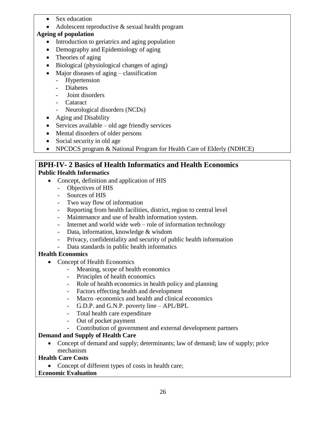- Sex education
- Adolescent reproductive & sexual health program

#### **Ageing of population**

- Introduction to geriatrics and aging population
- Demography and Epidemiology of aging
- Theories of aging
- Biological (physiological changes of aging)
- Major diseases of aging classification
	- Hypertension
	- Diabetes
	- Joint disorders
	- Cataract
	- Neurological disorders (NCDs)
- Aging and Disability
- $\bullet$  Services available old age friendly services
- Mental disorders of older persons
- Social security in old age
- NPCDCS program & National Program for Health Care of Elderly (NDHCE)

#### **BPH-IV- 2 Basics of Health Informatics and Health Economics Public Health Informatics**

- Concept, definition and application of HIS
	- Objectives of HIS
	- Sources of HIS
	- Two way flow of information
	- Reporting from health facilities, district, region to central level
	- Maintenance and use of health information system.
	- Internet and world wide web role of information technology
	- Data, information, knowledge & wisdom
	- Privacy, confidentiality and security of public health information
	- Data standards in public health informatics

#### **Health Economics**

- Concept of Health Economics
	- Meaning, scope of health economics
	- Principles of health economics
	- Role of health economics in health policy and planning
	- Factors effecting health and development
	- Macro -economics and health and clinical economics
	- G.D.P. and G.N.P. poverty line APL/BPL
	- Total health care expenditure
	- Out of pocket payment
	- Contribution of government and external development partners

### **Demand and Supply of Health Care**

• Concept of demand and supply; determinants; law of demand; law of supply; price mechanism

### **Health Care Costs**

• Concept of different types of costs in health care;

#### **Economic Evaluation**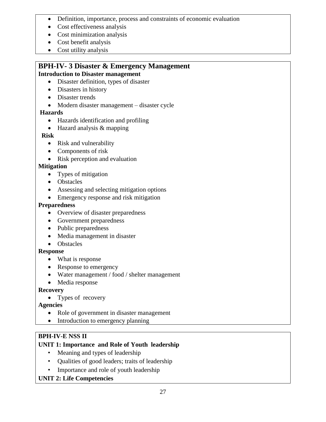- Definition, importance, process and constraints of economic evaluation
- Cost effectiveness analysis
- Cost minimization analysis
- Cost benefit analysis
- Cost utility analysis

## **BPH-IV- 3 Disaster & Emergency Management**

#### **Introduction to Disaster management**

- Disaster definition, types of disaster
- Disasters in history
- Disaster trends
- Modern disaster management disaster cycle

#### **Hazards**

- Hazards identification and profiling
- Hazard analysis & mapping

#### **Risk**

- Risk and vulnerability
- Components of risk
- Risk perception and evaluation

#### **Mitigation**

- Types of mitigation
- Obstacles
- Assessing and selecting mitigation options
- Emergency response and risk mitigation

#### **Preparedness**

- Overview of disaster preparedness
- Government preparedness
- Public preparedness
- Media management in disaster
- Obstacles

#### **Response**

- What is response
- Response to emergency
- Water management / food / shelter management
- Media response

#### **Recovery**

• Types of recovery

#### **Agencies**

- Role of government in disaster management
- Introduction to emergency planning

#### **BPH-IV-E NSS II**

#### **UNIT 1: Importance and Role of Youth leadership**

- Meaning and types of leadership
- Qualities of good leaders; traits of leadership
- Importance and role of youth leadership

#### **UNIT 2: Life Competencies**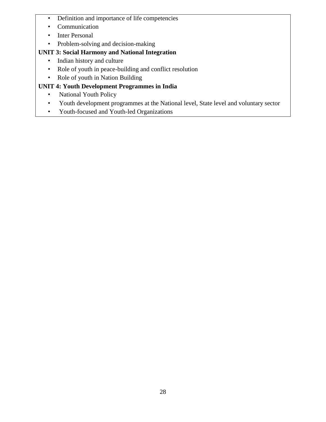- Definition and importance of life competencies
- Communication
- Inter Personal
- Problem-solving and decision-making

## **UNIT 3: Social Harmony and National Integration**

- Indian history and culture
- Role of youth in peace-building and conflict resolution
- Role of youth in Nation Building

## **UNIT 4: Youth Development Programmes in India**

- National Youth Policy
- Youth development programmes at the National level, State level and voluntary sector
- Youth-focused and Youth-led Organizations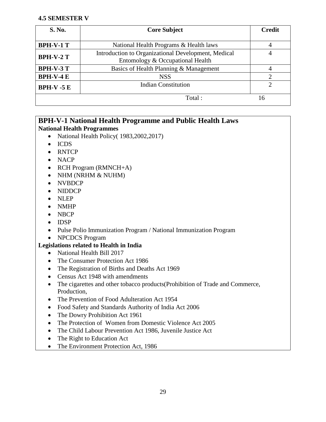#### **4.5 SEMESTER V**

| <b>S. No.</b>    | <b>Core Subject</b>                                 | <b>Credit</b> |
|------------------|-----------------------------------------------------|---------------|
|                  |                                                     |               |
| <b>BPH-V-1 T</b> | National Health Programs & Health laws              |               |
| <b>BPH-V-2 T</b> | Introduction to Organizational Development, Medical |               |
|                  | Entomology & Occupational Health                    |               |
| <b>BPH-V-3 T</b> | Basics of Health Planning & Management              |               |
| $BPH-V-4E$       | <b>NSS</b>                                          |               |
| $BPH-V - 5E$     | <b>Indian Constitution</b>                          |               |
|                  | Total:                                              | I6            |

#### **BPH-V-1 National Health Programme and Public Health Laws National Health Programmes**

- National Health Policy (1983, 2002, 2017)
- ICDS
- RNTCP
- NACP
- RCH Program (RMNCH+A)
- NHM (NRHM & NUHM)
- NVBDCP
- NIDDCP
- NLEP
- NMHP
- NBCP
- $\bullet$  IDSP
- Pulse Polio Immunization Program / National Immunization Program
- NPCDCS Program

#### **Legislations related to Health in India**

- National Health Bill 2017
- The Consumer Protection Act 1986
- The Registration of Births and Deaths Act 1969
- Census Act 1948 with amendments
- The cigarettes and other tobacco products(Prohibition of Trade and Commerce, Production,
- The Prevention of Food Adulteration Act 1954
- Food Safety and Standards Authority of India Act 2006
- The Dowry Prohibition Act 1961
- The Protection of Women from Domestic Violence Act 2005
- The Child Labour Prevention Act 1986, Juvenile Justice Act
- The Right to Education Act
- The Environment Protection Act, 1986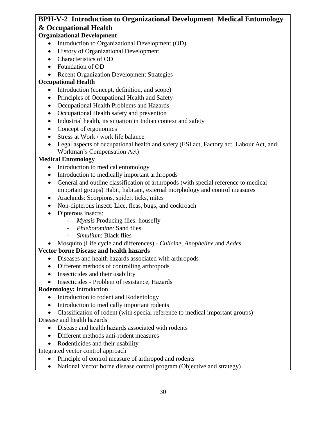## **BPH-V-2 Introduction to Organizational Development Medical Entomology & Occupational Health**

#### **Organizational Development**

- Introduction to Organizational Development (OD)
- History of Organizational Development.
- Characteristics of OD
- Foundation of OD
- Recent Organization Development Strategies

#### **Occupational Health**

- Introduction (concept, definition, and scope)
- Principles of Occupational Health and Safety
- Occupational Health Problems and Hazards
- Occupational Health safety and prevention
- Industrial health, its situation in Indian context and safety
- Concept of ergonomics
- Stress at Work / work life balance
- Legal aspects of occupational health and safety (ESI act, Factory act, Labour Act, and Workman's Compensation Act)

#### **Medical Entomology**

- Introduction to medical entomology
- Introduction to medically important arthropods
- General and outline classification of arthropods (with special reference to medical important groups) Habit, habitant, external morphology and control measures
- Arachnids: Scorpions, spider, ticks, mites
- Non-dipterous insect: Lice, fleas, bugs, and cockroach
- Dipterous insects:
	- *Myasis* Producing flies: housefly
	- *Phlebotomine:* Sand flies
	- *Simulium*: Black flies
- Mosquito (Life cycle and differences) *Culicine, Anopheline* and *Aedes*

#### **Vector borne Disease and health hazards**

- Diseases and health hazards associated with arthropods
- Different methods of controlling arthropods
- Insecticides and their usability
- Insecticides Problem of resistance, Hazards

#### **Rodentology:** Introduction

- Introduction to rodent and Rodentology
- Introduction to medically important rodents
- Classification of rodent (with special reference to medical important groups)

#### Disease and health hazards

- Disease and health hazards associated with rodents
- Different methods anti-rodent measures
- Rodenticides and their usability

Integrated vector control approach

- Principle of control measure of arthropod and rodents
- National Vector borne disease control program (Objective and strategy)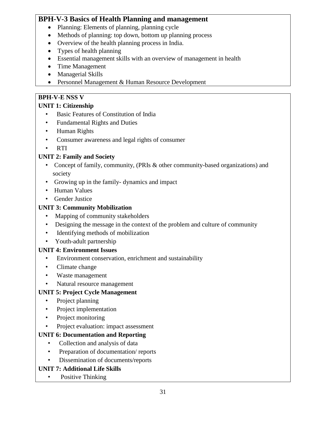### **BPH-V-3 Basics of Health Planning and management**

- Planning: Elements of planning, planning cycle
- Methods of planning: top down, bottom up planning process
- Overview of the health planning process in India.
- Types of health planning
- Essential management skills with an overview of management in health
- Time Management
- Managerial Skills
- Personnel Management & Human Resource Development

### **BPH-V-E NSS V**

### **UNIT 1: Citizenship**

- Basic Features of Constitution of India
- Fundamental Rights and Duties
- Human Rights
- Consumer awareness and legal rights of consumer
- RTI

### **UNIT 2: Family and Society**

- Concept of family, community, (PRIs & other community-based organizations) and society
- Growing up in the family- dynamics and impact
- Human Values
- Gender Justice

### **UNIT 3: Community Mobilization**

- Mapping of community stakeholders
- Designing the message in the context of the problem and culture of community
- Identifying methods of mobilization
- Youth-adult partnership

### **UNIT 4: Environment Issues**

- Environment conservation, enrichment and sustainability
- Climate change
- Waste management
- Natural resource management

### **UNIT 5: Project Cycle Management**

- Project planning
- Project implementation
- Project monitoring
- Project evaluation: impact assessment

### **UNIT 6: Documentation and Reporting**

- Collection and analysis of data
- Preparation of documentation/ reports
- Dissemination of documents/reports

### **UNIT 7: Additional Life Skills**

Positive Thinking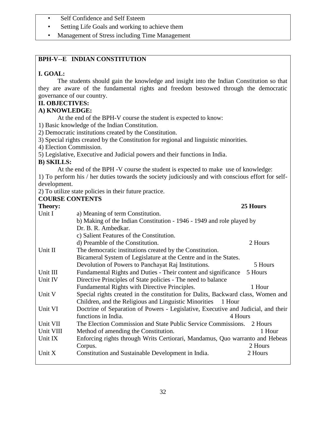- Self Confidence and Self Esteem
- Setting Life Goals and working to achieve them
- Management of Stress including Time Management

#### **BPH-V--E INDIAN CONSTITUTION**

#### **I. GOAL:**

The students should gain the knowledge and insight into the Indian Constitution so that they are aware of the fundamental rights and freedom bestowed through the democratic governance of our country.

#### **II. OBJECTIVES:**

#### **A) KNOWLEDGE:**

At the end of the BPH-V course the student is expected to know:

1) Basic knowledge of the Indian Constitution.

2) Democratic institutions created by the Constitution.

3) Special rights created by the Constitution for regional and linguistic minorities.

4) Election Commission.

5) Legislative, Executive and Judicial powers and their functions in India.

#### **B) SKILLS:**

At the end of the BPH -V course the student is expected to make use of knowledge:

1) To perform his / her duties towards the society judiciously and with conscious effort for selfdevelopment.

2) To utilize state policies in their future practice.

## **COURSE CONTENTS**

| Theory:   |                                                                                   | 25 Hours |
|-----------|-----------------------------------------------------------------------------------|----------|
| Unit I    | a) Meaning of term Constitution.                                                  |          |
|           | b) Making of the Indian Constitution - 1946 - 1949 and role played by             |          |
|           | Dr. B. R. Ambedkar.                                                               |          |
|           | c) Salient Features of the Constitution.                                          |          |
|           | d) Preamble of the Constitution.                                                  | 2 Hours  |
| Unit II   | The democratic institutions created by the Constitution.                          |          |
|           | Bicameral System of Legislature at the Centre and in the States.                  |          |
|           | Devolution of Powers to Panchayat Raj Institutions.                               | 5 Hours  |
| Unit III  | Fundamental Rights and Duties - Their content and significance                    | 5 Hours  |
| Unit IV   | Directive Principles of State policies - The need to balance                      |          |
|           | Fundamental Rights with Directive Principles.                                     | 1 Hour   |
| Unit V    | Special rights created in the constitution for Dalits, Backward class, Women and  |          |
|           | Children, and the Religious and Linguistic Minorities<br>1 Hour                   |          |
| Unit VI   | Doctrine of Separation of Powers - Legislative, Executive and Judicial, and their |          |
|           | functions in India.<br>4 Hours                                                    |          |
| Unit VII  | The Election Commission and State Public Service Commissions.                     | 2 Hours  |
| Unit VIII | Method of amending the Constitution.                                              | 1 Hour   |
| Unit IX   | Enforcing rights through Writs Certiorari, Mandamus, Quo warranto and Hebeas      |          |
|           | Corpus.                                                                           | 2 Hours  |
| Unit X    | Constitution and Sustainable Development in India.                                | 2 Hours  |
|           |                                                                                   |          |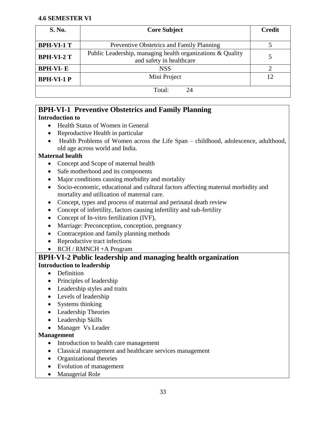#### **4.6 SEMESTER VI**

| <b>S. No.</b>     | <b>Core Subject</b>                                                                    | <b>Credit</b> |
|-------------------|----------------------------------------------------------------------------------------|---------------|
|                   |                                                                                        |               |
| <b>BPH-VI-1 T</b> | Preventive Obstetrics and Family Planning                                              |               |
| <b>BPH-VI-2 T</b> | Public Leadership, managing health organizations & Quality<br>and safety in healthcare |               |
| <b>BPH-VI-E</b>   | <b>NSS</b>                                                                             |               |
| <b>BPH-VI-1 P</b> | Mini Project                                                                           | 12            |
|                   | Total:<br>24                                                                           |               |

### **BPH-VI-1 Preventive Obstetrics and Family Planning**

#### **Introduction to**

- Health Status of Women in General
- Reproductive Health in particular
- Health Problems of Women across the Life Span childhood, adolescence, adulthood, old age across world and India.

#### **Maternal health**

- Concept and Scope of maternal health
- Safe motherhood and its components
- Major conditions causing morbidity and mortality
- Socio-economic, educational and cultural factors affecting maternal morbidity and mortality and utilization of maternal care.
- Concept, types and process of maternal and perinatal death review
- Concept of infertility, factors causing infertility and sub-fertility
- Concept of In-vitro fertilization (IVF),
- Marriage: Preconception, conception, pregnancy
- Contraception and family planning methods
- Reproductive tract infections
- RCH / RMNCH + A Program

### **BPH-VI-2 Public leadership and managing health organization Introduction to leadership**

- Definition
- Principles of leadership
- Leadership styles and traits
- Levels of leadership
- Systems thinking
- Leadership Theories
- Leadership Skills
- Manager Vs Leader

#### **Management**

- Introduction to health care management
- Classical management and healthcare services management
- Organizational theories
- Evolution of management
- Managerial Role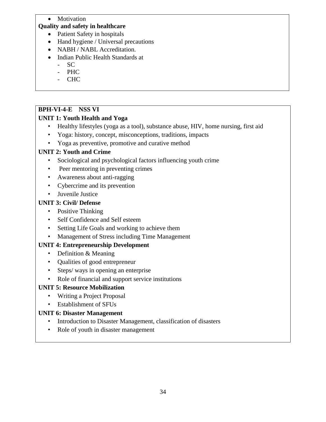#### • Motivation

#### **Quality and safety in healthcare**

- Patient Safety in hospitals
- Hand hygiene / Universal precautions
- NABH / NABL Accreditation.
- Indian Public Health Standards at
	- SC
	- PHC
	- CHC

#### **BPH-VI-4-E NSS VI**

#### **UNIT 1: Youth Health and Yoga**

- Healthy lifestyles (yoga as a tool), substance abuse, HIV, home nursing, first aid
- Yoga: history, concept, misconceptions, traditions, impacts
- Yoga as preventive, promotive and curative method

#### **UNIT 2: Youth and Crime**

- Sociological and psychological factors influencing youth crime
- Peer mentoring in preventing crimes
- Awareness about anti-ragging
- Cybercrime and its prevention
- Juvenile Justice

#### **UNIT 3: Civil/ Defense**

- Positive Thinking
- Self Confidence and Self esteem
- Setting Life Goals and working to achieve them
- Management of Stress including Time Management

#### **UNIT 4: Entrepreneurship Development**

- Definition & Meaning
- Qualities of good entrepreneur
- Steps/ ways in opening an enterprise
- Role of financial and support service institutions

#### **UNIT 5: Resource Mobilization**

- Writing a Project Proposal
- Establishment of SFUs

#### **UNIT 6: Disaster Management**

- Introduction to Disaster Management, classification of disasters
- Role of youth in disaster management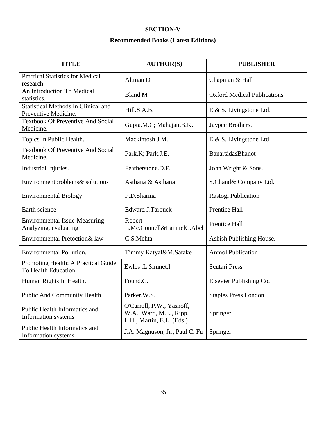#### **SECTION-V**

#### **Recommended Books (Latest Editions)**

| <b>TITLE</b>                                                       | <b>AUTHOR(S)</b>                                                                  | <b>PUBLISHER</b>                   |
|--------------------------------------------------------------------|-----------------------------------------------------------------------------------|------------------------------------|
| <b>Practical Statistics for Medical</b><br>research                | Altman D                                                                          | Chapman & Hall                     |
| An Introduction To Medical<br>statistics.                          | <b>Bland M</b>                                                                    | <b>Oxford Medical Publications</b> |
| <b>Statistical Methods In Clinical and</b><br>Preventive Medicine. | Hill.S.A.B.                                                                       | E.& S. Livingstone Ltd.            |
| <b>Textbook Of Preventive And Social</b><br>Medicine.              | Gupta.M.C; Mahajan.B.K.                                                           | Jaypee Brothers.                   |
| Topics In Public Health.                                           | Mackintosh.J.M.                                                                   | E.& S. Livingstone Ltd.            |
| <b>Textbook Of Preventive And Social</b><br>Medicine.              | Park.K; Park.J.E.                                                                 | BanarsidasBhanot                   |
| Industrial Injuries.                                               | Featherstone.D.F.                                                                 | John Wright & Sons.                |
| Environmentproblems& solutions                                     | Asthana & Asthana                                                                 | S.Chand& Company Ltd.              |
| <b>Environmental Biology</b>                                       | P.D.Sharma                                                                        | Rastogi Publication                |
| Earth science                                                      | <b>Edward J.Tarbuck</b>                                                           | Prentice Hall                      |
| <b>Environmental Issue-Measuring</b><br>Analyzing, evaluating      | Robert<br>L.Mc.Connell&LannielC.Abel                                              | Prentice Hall                      |
| Environmental Pretoction& law                                      | C.S.Mehta                                                                         | Ashish Publishing House.           |
| <b>Environmental Pollution,</b>                                    | Timmy Katyal&M.Satake                                                             | <b>Anmol Publication</b>           |
| Promoting Health: A Practical Guide<br>To Health Education         | Ewles ,L Simnet,I                                                                 | <b>Scutari Press</b>               |
| Human Rights In Health.                                            | Found.C.                                                                          | Elsevier Publishing Co.            |
| Public And Community Health.                                       | Parker.W.S.                                                                       | Staples Press London.              |
| Public Health Informatics and<br>Information systems               | O'Carroll, P.W., Yasnoff,<br>W.A., Ward, M.E., Ripp,<br>L.H., Martin, E.L. (Eds.) | Springer                           |
| Public Health Informatics and<br>Information systems               | J.A. Magnuson, Jr., Paul C. Fu                                                    | Springer                           |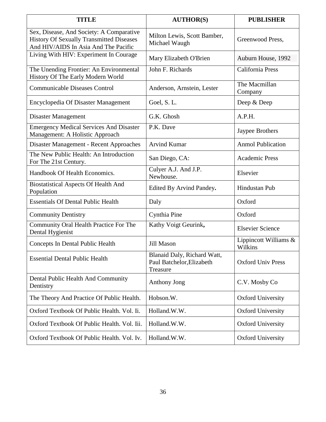| <b>TITLE</b>                                                                                                                 | <b>AUTHOR(S)</b>                                                     | <b>PUBLISHER</b>                 |
|------------------------------------------------------------------------------------------------------------------------------|----------------------------------------------------------------------|----------------------------------|
| Sex, Disease, And Society: A Comparative<br>History Of Sexually Transmitted Diseases<br>And HIV/AIDS In Asia And The Pacific | Milton Lewis, Scott Bamber,<br>Michael Waugh                         | Greenwood Press,                 |
| Living With HIV: Experiment In Courage                                                                                       | Mary Elizabeth O'Brien                                               | Auburn House, 1992               |
| The Unending Frontier: An Environmental<br>History Of The Early Modern World                                                 | John F. Richards                                                     | California Press                 |
| <b>Communicable Diseases Control</b>                                                                                         | Anderson, Arnstein, Lester                                           | The Macmillan<br>Company         |
| <b>Encyclopedia Of Disaster Management</b>                                                                                   | Goel, S.L.                                                           | Deep & Deep                      |
| Disaster Management                                                                                                          | G.K. Ghosh                                                           | A.P.H.                           |
| <b>Emergency Medical Services And Disaster</b><br>Management: A Holistic Approach                                            | P.K. Dave                                                            | Jaypee Brothers                  |
| Disaster Management - Recent Approaches                                                                                      | <b>Arvind Kumar</b>                                                  | <b>Anmol Publication</b>         |
| The New Public Health: An Introduction<br>For The 21st Century.                                                              | San Diego, CA:                                                       | <b>Academic Press</b>            |
| Handbook Of Health Economics.                                                                                                | Culyer A.J. And J.P.<br>Newhouse.                                    | Elsevier                         |
| <b>Biostatistical Aspects Of Health And</b><br>Population                                                                    | Edited By Arvind Pandey.                                             | Hindustan Pub                    |
| <b>Essentials Of Dental Public Health</b>                                                                                    | Daly                                                                 | Oxford                           |
| <b>Community Dentistry</b>                                                                                                   | Cynthia Pine                                                         | Oxford                           |
| Community Oral Health Practice For The<br>Dental Hygienist                                                                   | Kathy Voigt Geurink,                                                 | <b>Elsevier Science</b>          |
| Concepts In Dental Public Health                                                                                             | <b>Jill Mason</b>                                                    | Lippincott Williams &<br>Wilkins |
| <b>Essential Dental Public Health</b>                                                                                        | Blanaid Daly, Richard Watt,<br>Paul Batchelor, Elizabeth<br>Treasure | <b>Oxford Univ Press</b>         |
| Dental Public Health And Community<br>Dentistry                                                                              | Anthony Jong                                                         | C.V. Mosby Co                    |
| The Theory And Practice Of Public Health.                                                                                    | Hobson.W.                                                            | <b>Oxford University</b>         |
| Oxford Textbook Of Public Health. Vol. Ii.                                                                                   | Holland.W.W.                                                         | <b>Oxford University</b>         |
| Oxford Textbook Of Public Health. Vol. Iii.                                                                                  | Holland.W.W.                                                         | <b>Oxford University</b>         |
| Oxford Textbook Of Public Health. Vol. Iv.                                                                                   | Holland.W.W.                                                         | <b>Oxford University</b>         |